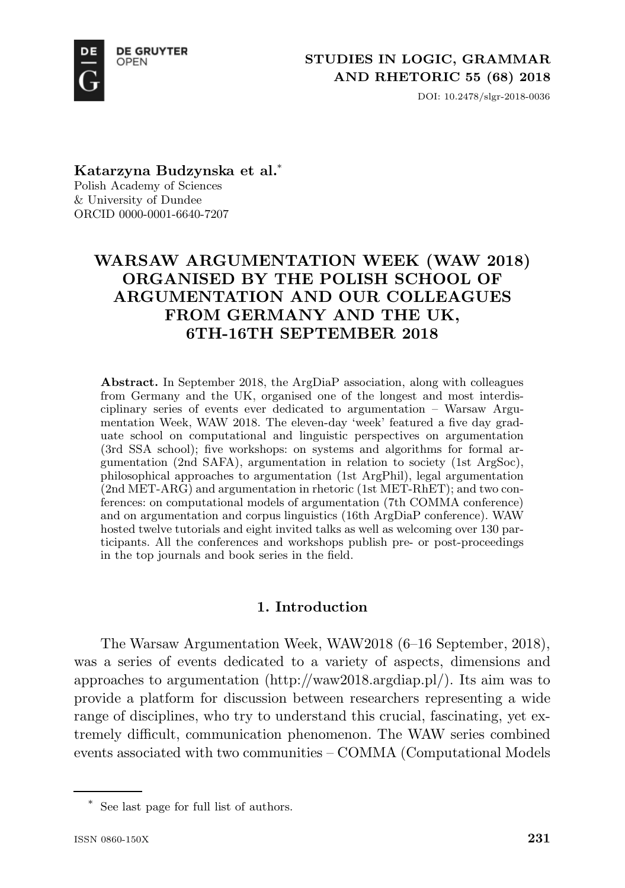

DOI: 10.2478/slgr-2018-0036

**Katarzyna Budzynska et al.**\* Polish Academy of Sciences

& University of Dundee ORCID 0000-0001-6640-7207

# **WARSAW ARGUMENTATION WEEK (WAW 2018) ORGANISED BY THE POLISH SCHOOL OF ARGUMENTATION AND OUR COLLEAGUES FROM GERMANY AND THE UK, 6TH-16TH SEPTEMBER 2018**

**Abstract.** In September 2018, the ArgDiaP association, along with colleagues from Germany and the UK, organised one of the longest and most interdisciplinary series of events ever dedicated to argumentation – Warsaw Argumentation Week, WAW 2018. The eleven-day 'week' featured a five day graduate school on computational and linguistic perspectives on argumentation (3rd SSA school); five workshops: on systems and algorithms for formal argumentation (2nd SAFA), argumentation in relation to society (1st ArgSoc), philosophical approaches to argumentation (1st ArgPhil), legal argumentation (2nd MET-ARG) and argumentation in rhetoric (1st MET-RhET); and two conferences: on computational models of argumentation (7th COMMA conference) and on argumentation and corpus linguistics (16th ArgDiaP conference). WAW hosted twelve tutorials and eight invited talks as well as welcoming over 130 participants. All the conferences and workshops publish pre- or post-proceedings in the top journals and book series in the field.

# **1. Introduction**

The Warsaw Argumentation Week, WAW2018 (6–16 September, 2018), was a series of events dedicated to a variety of aspects, dimensions and approaches to argumentation (http://waw2018.argdiap.pl/). Its aim was to provide a platform for discussion between researchers representing a wide range of disciplines, who try to understand this crucial, fascinating, yet extremely difficult, communication phenomenon. The WAW series combined events associated with two communities – COMMA (Computational Models

<sup>\*</sup> See last page for full list of authors.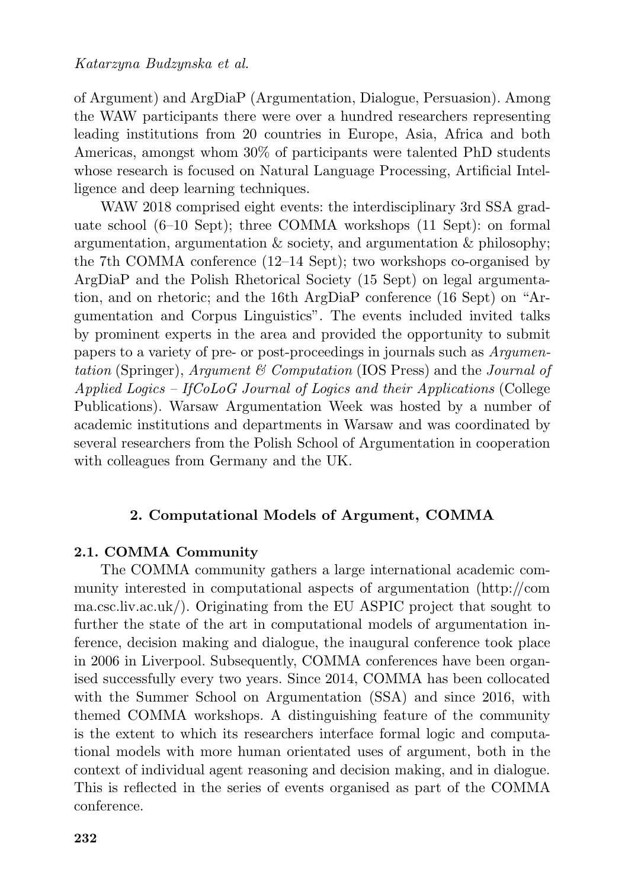of Argument) and ArgDiaP (Argumentation, Dialogue, Persuasion). Among the WAW participants there were over a hundred researchers representing leading institutions from 20 countries in Europe, Asia, Africa and both Americas, amongst whom 30% of participants were talented PhD students whose research is focused on Natural Language Processing, Artificial Intelligence and deep learning techniques.

WAW 2018 comprised eight events: the interdisciplinary 3rd SSA graduate school (6–10 Sept); three COMMA workshops (11 Sept): on formal argumentation, argumentation  $\&$  society, and argumentation  $\&$  philosophy; the 7th COMMA conference (12–14 Sept); two workshops co-organised by ArgDiaP and the Polish Rhetorical Society (15 Sept) on legal argumentation, and on rhetoric; and the 16th ArgDiaP conference (16 Sept) on "Argumentation and Corpus Linguistics". The events included invited talks by prominent experts in the area and provided the opportunity to submit papers to a variety of pre- or post-proceedings in journals such as *Argumentation* (Springer), *Argument & Computation* (IOS Press) and the *Journal of Applied Logics – IfCoLoG Journal of Logics and their Applications* (College Publications). Warsaw Argumentation Week was hosted by a number of academic institutions and departments in Warsaw and was coordinated by several researchers from the Polish School of Argumentation in cooperation with colleagues from Germany and the UK.

# **2. Computational Models of Argument, COMMA**

# **2.1. COMMA Community**

The COMMA community gathers a large international academic community interested in computational aspects of argumentation (http://com ma.csc.liv.ac.uk/). Originating from the EU ASPIC project that sought to further the state of the art in computational models of argumentation inference, decision making and dialogue, the inaugural conference took place in 2006 in Liverpool. Subsequently, COMMA conferences have been organised successfully every two years. Since 2014, COMMA has been collocated with the Summer School on Argumentation (SSA) and since 2016, with themed COMMA workshops. A distinguishing feature of the community is the extent to which its researchers interface formal logic and computational models with more human orientated uses of argument, both in the context of individual agent reasoning and decision making, and in dialogue. This is reflected in the series of events organised as part of the COMMA conference.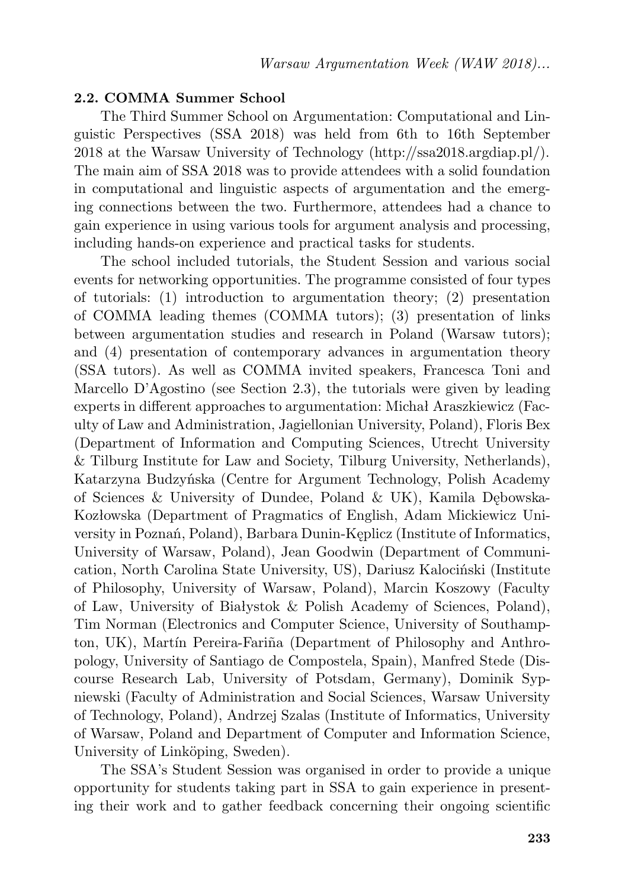#### **2.2. COMMA Summer School**

The Third Summer School on Argumentation: Computational and Linguistic Perspectives (SSA 2018) was held from 6th to 16th September 2018 at the Warsaw University of Technology (http://ssa2018.argdiap.pl/). The main aim of SSA 2018 was to provide attendees with a solid foundation in computational and linguistic aspects of argumentation and the emerging connections between the two. Furthermore, attendees had a chance to gain experience in using various tools for argument analysis and processing, including hands-on experience and practical tasks for students.

The school included tutorials, the Student Session and various social events for networking opportunities. The programme consisted of four types of tutorials: (1) introduction to argumentation theory; (2) presentation of COMMA leading themes (COMMA tutors); (3) presentation of links between argumentation studies and research in Poland (Warsaw tutors); and (4) presentation of contemporary advances in argumentation theory (SSA tutors). As well as COMMA invited speakers, Francesca Toni and Marcello D'Agostino (see Section 2.3), the tutorials were given by leading experts in different approaches to argumentation: Michał Araszkiewicz (Faculty of Law and Administration, Jagiellonian University, Poland), Floris Bex (Department of Information and Computing Sciences, Utrecht University & Tilburg Institute for Law and Society, Tilburg University, Netherlands), Katarzyna Budzyńska (Centre for Argument Technology, Polish Academy of Sciences & University of Dundee, Poland & UK), Kamila Dębowska-Kozłowska (Department of Pragmatics of English, Adam Mickiewicz University in Poznań, Poland), Barbara Dunin-Kęplicz (Institute of Informatics, University of Warsaw, Poland), Jean Goodwin (Department of Communication, North Carolina State University, US), Dariusz Kalociński (Institute of Philosophy, University of Warsaw, Poland), Marcin Koszowy (Faculty of Law, University of Białystok & Polish Academy of Sciences, Poland), Tim Norman (Electronics and Computer Science, University of Southampton, UK), Martín Pereira-Fariña (Department of Philosophy and Anthropology, University of Santiago de Compostela, Spain), Manfred Stede (Discourse Research Lab, University of Potsdam, Germany), Dominik Sypniewski (Faculty of Administration and Social Sciences, Warsaw University of Technology, Poland), Andrzej Szalas (Institute of Informatics, University of Warsaw, Poland and Department of Computer and Information Science, University of Linköping, Sweden).

The SSA's Student Session was organised in order to provide a unique opportunity for students taking part in SSA to gain experience in presenting their work and to gather feedback concerning their ongoing scientific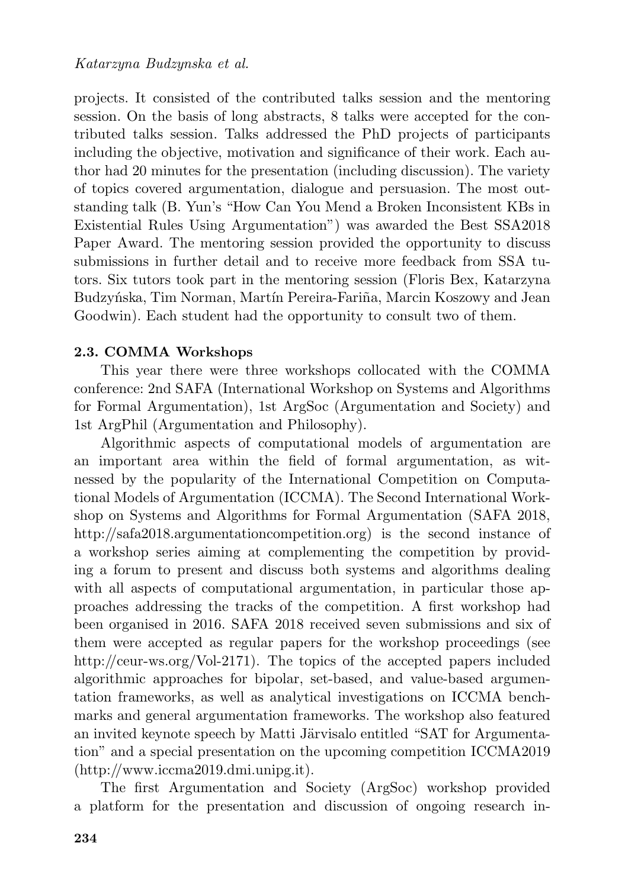projects. It consisted of the contributed talks session and the mentoring session. On the basis of long abstracts, 8 talks were accepted for the contributed talks session. Talks addressed the PhD projects of participants including the objective, motivation and significance of their work. Each author had 20 minutes for the presentation (including discussion). The variety of topics covered argumentation, dialogue and persuasion. The most outstanding talk (B. Yun's "How Can You Mend a Broken Inconsistent KBs in Existential Rules Using Argumentation") was awarded the Best SSA2018 Paper Award. The mentoring session provided the opportunity to discuss submissions in further detail and to receive more feedback from SSA tutors. Six tutors took part in the mentoring session (Floris Bex, Katarzyna Budzyńska, Tim Norman, Martín Pereira-Fariña, Marcin Koszowy and Jean Goodwin). Each student had the opportunity to consult two of them.

### **2.3. COMMA Workshops**

This year there were three workshops collocated with the COMMA conference: 2nd SAFA (International Workshop on Systems and Algorithms for Formal Argumentation), 1st ArgSoc (Argumentation and Society) and 1st ArgPhil (Argumentation and Philosophy).

Algorithmic aspects of computational models of argumentation are an important area within the field of formal argumentation, as witnessed by the popularity of the International Competition on Computational Models of Argumentation (ICCMA). The Second International Workshop on Systems and Algorithms for Formal Argumentation (SAFA 2018, http://safa2018.argumentationcompetition.org) is the second instance of a workshop series aiming at complementing the competition by providing a forum to present and discuss both systems and algorithms dealing with all aspects of computational argumentation, in particular those approaches addressing the tracks of the competition. A first workshop had been organised in 2016. SAFA 2018 received seven submissions and six of them were accepted as regular papers for the workshop proceedings (see http://ceur-ws.org/Vol-2171). The topics of the accepted papers included algorithmic approaches for bipolar, set-based, and value-based argumentation frameworks, as well as analytical investigations on ICCMA benchmarks and general argumentation frameworks. The workshop also featured an invited keynote speech by Matti Järvisalo entitled "SAT for Argumentation" and a special presentation on the upcoming competition ICCMA2019 (http://www.iccma2019.dmi.unipg.it).

The first Argumentation and Society (ArgSoc) workshop provided a platform for the presentation and discussion of ongoing research in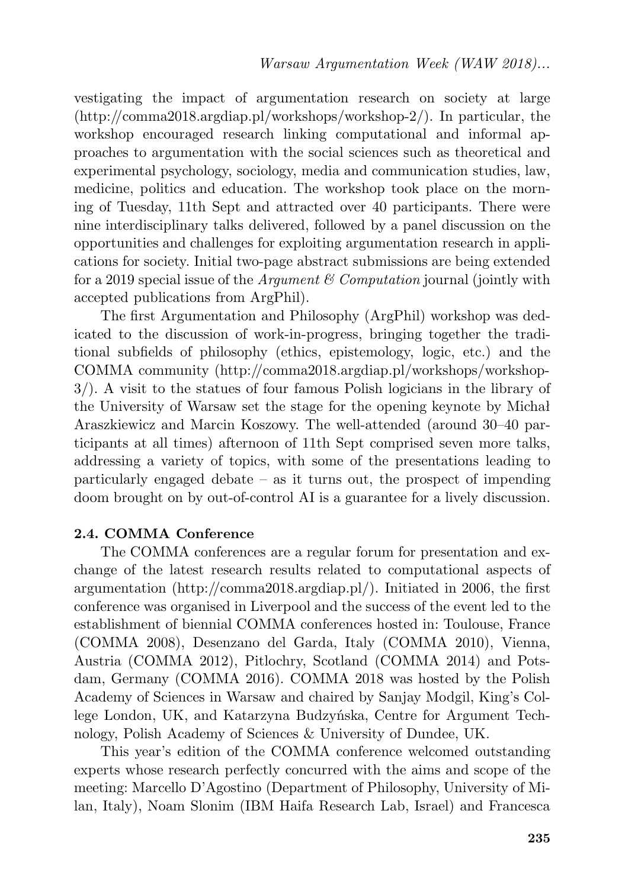vestigating the impact of argumentation research on society at large (http://comma2018.argdiap.pl/workshops/workshop-2/). In particular, the workshop encouraged research linking computational and informal approaches to argumentation with the social sciences such as theoretical and experimental psychology, sociology, media and communication studies, law, medicine, politics and education. The workshop took place on the morning of Tuesday, 11th Sept and attracted over 40 participants. There were nine interdisciplinary talks delivered, followed by a panel discussion on the opportunities and challenges for exploiting argumentation research in applications for society. Initial two-page abstract submissions are being extended for a 2019 special issue of the *Argument & Computation* journal (jointly with accepted publications from ArgPhil).

The first Argumentation and Philosophy (ArgPhil) workshop was dedicated to the discussion of work-in-progress, bringing together the traditional subfields of philosophy (ethics, epistemology, logic, etc.) and the COMMA community (http://comma2018.argdiap.pl/workshops/workshop-3/). A visit to the statues of four famous Polish logicians in the library of the University of Warsaw set the stage for the opening keynote by Michał Araszkiewicz and Marcin Koszowy. The well-attended (around 30–40 participants at all times) afternoon of 11th Sept comprised seven more talks, addressing a variety of topics, with some of the presentations leading to particularly engaged debate – as it turns out, the prospect of impending doom brought on by out-of-control AI is a guarantee for a lively discussion.

### **2.4. COMMA Conference**

The COMMA conferences are a regular forum for presentation and exchange of the latest research results related to computational aspects of argumentation (http://comma2018.argdiap.pl/). Initiated in 2006, the first conference was organised in Liverpool and the success of the event led to the establishment of biennial COMMA conferences hosted in: Toulouse, France (COMMA 2008), Desenzano del Garda, Italy (COMMA 2010), Vienna, Austria (COMMA 2012), Pitlochry, Scotland (COMMA 2014) and Potsdam, Germany (COMMA 2016). COMMA 2018 was hosted by the Polish Academy of Sciences in Warsaw and chaired by Sanjay Modgil, King's College London, UK, and Katarzyna Budzyńska, Centre for Argument Technology, Polish Academy of Sciences & University of Dundee, UK.

This year's edition of the COMMA conference welcomed outstanding experts whose research perfectly concurred with the aims and scope of the meeting: Marcello D'Agostino (Department of Philosophy, University of Milan, Italy), Noam Slonim (IBM Haifa Research Lab, Israel) and Francesca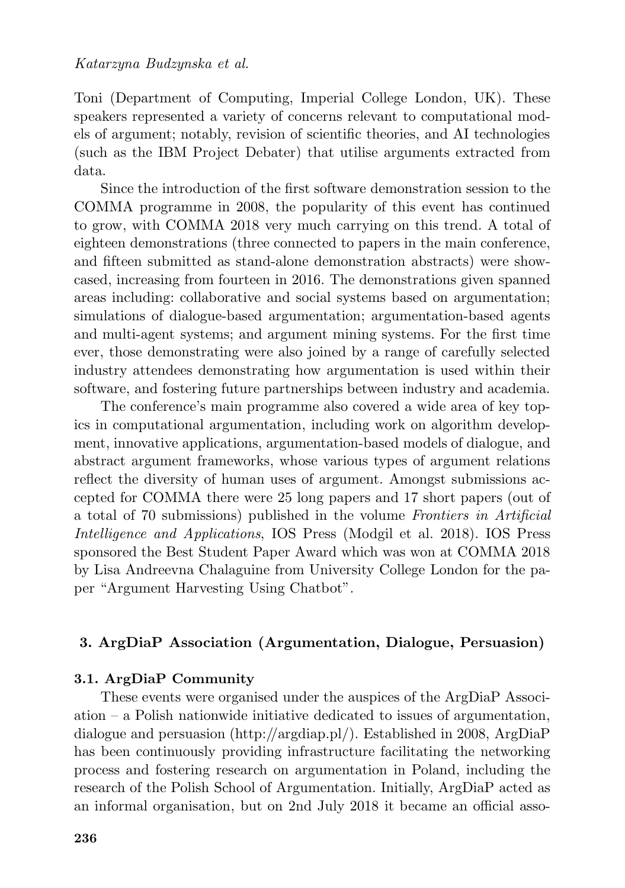Toni (Department of Computing, Imperial College London, UK). These speakers represented a variety of concerns relevant to computational models of argument; notably, revision of scientific theories, and AI technologies (such as the IBM Project Debater) that utilise arguments extracted from data.

Since the introduction of the first software demonstration session to the COMMA programme in 2008, the popularity of this event has continued to grow, with COMMA 2018 very much carrying on this trend. A total of eighteen demonstrations (three connected to papers in the main conference, and fifteen submitted as stand-alone demonstration abstracts) were showcased, increasing from fourteen in 2016. The demonstrations given spanned areas including: collaborative and social systems based on argumentation; simulations of dialogue-based argumentation; argumentation-based agents and multi-agent systems; and argument mining systems. For the first time ever, those demonstrating were also joined by a range of carefully selected industry attendees demonstrating how argumentation is used within their software, and fostering future partnerships between industry and academia.

The conference's main programme also covered a wide area of key topics in computational argumentation, including work on algorithm development, innovative applications, argumentation-based models of dialogue, and abstract argument frameworks, whose various types of argument relations reflect the diversity of human uses of argument. Amongst submissions accepted for COMMA there were 25 long papers and 17 short papers (out of a total of 70 submissions) published in the volume *Frontiers in Artificial Intelligence and Applications*, IOS Press (Modgil et al. 2018). IOS Press sponsored the Best Student Paper Award which was won at COMMA 2018 by Lisa Andreevna Chalaguine from University College London for the paper "Argument Harvesting Using Chatbot".

#### **3. ArgDiaP Association (Argumentation, Dialogue, Persuasion)**

# **3.1. ArgDiaP Community**

These events were organised under the auspices of the ArgDiaP Association – a Polish nationwide initiative dedicated to issues of argumentation, dialogue and persuasion (http://argdiap.pl/). Established in 2008, ArgDiaP has been continuously providing infrastructure facilitating the networking process and fostering research on argumentation in Poland, including the research of the Polish School of Argumentation. Initially, ArgDiaP acted as an informal organisation, but on 2nd July 2018 it became an official asso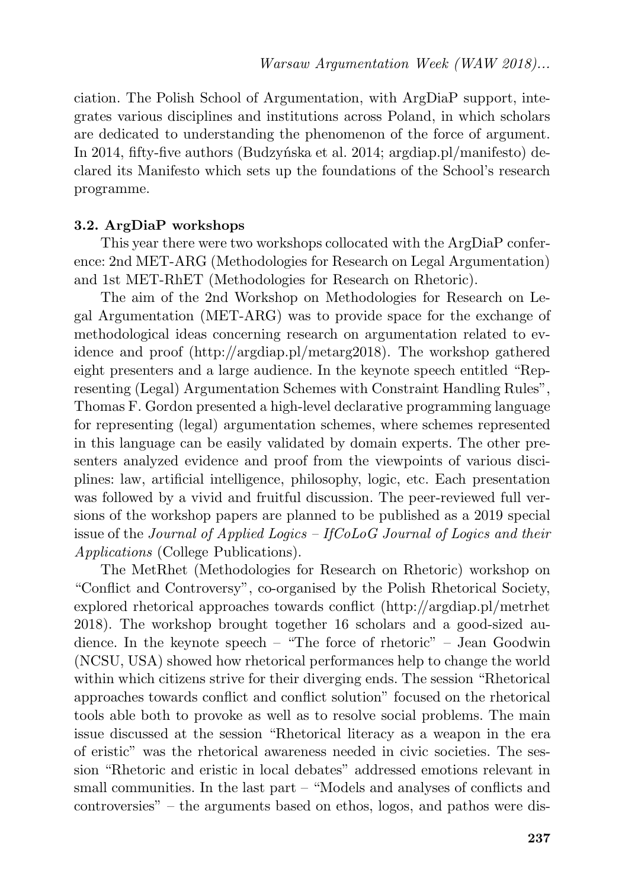ciation. The Polish School of Argumentation, with ArgDiaP support, integrates various disciplines and institutions across Poland, in which scholars are dedicated to understanding the phenomenon of the force of argument. In 2014, fifty-five authors (Budzyńska et al. 2014; argdiap.pl/manifesto) declared its Manifesto which sets up the foundations of the School's research programme.

#### **3.2. ArgDiaP workshops**

This year there were two workshops collocated with the ArgDiaP conference: 2nd MET-ARG (Methodologies for Research on Legal Argumentation) and 1st MET-RhET (Methodologies for Research on Rhetoric).

The aim of the 2nd Workshop on Methodologies for Research on Legal Argumentation (MET-ARG) was to provide space for the exchange of methodological ideas concerning research on argumentation related to evidence and proof (http://argdiap.pl/metarg2018). The workshop gathered eight presenters and a large audience. In the keynote speech entitled "Representing (Legal) Argumentation Schemes with Constraint Handling Rules", Thomas F. Gordon presented a high-level declarative programming language for representing (legal) argumentation schemes, where schemes represented in this language can be easily validated by domain experts. The other presenters analyzed evidence and proof from the viewpoints of various disciplines: law, artificial intelligence, philosophy, logic, etc. Each presentation was followed by a vivid and fruitful discussion. The peer-reviewed full versions of the workshop papers are planned to be published as a 2019 special issue of the *Journal of Applied Logics – IfCoLoG Journal of Logics and their Applications* (College Publications).

The MetRhet (Methodologies for Research on Rhetoric) workshop on "Conflict and Controversy", co-organised by the Polish Rhetorical Society, explored rhetorical approaches towards conflict (http://argdiap.pl/metrhet 2018). The workshop brought together 16 scholars and a good-sized audience. In the keynote speech – "The force of rhetoric" – Jean Goodwin (NCSU, USA) showed how rhetorical performances help to change the world within which citizens strive for their diverging ends. The session "Rhetorical approaches towards conflict and conflict solution" focused on the rhetorical tools able both to provoke as well as to resolve social problems. The main issue discussed at the session "Rhetorical literacy as a weapon in the era of eristic" was the rhetorical awareness needed in civic societies. The session "Rhetoric and eristic in local debates" addressed emotions relevant in small communities. In the last part – "Models and analyses of conflicts and controversies" – the arguments based on ethos, logos, and pathos were dis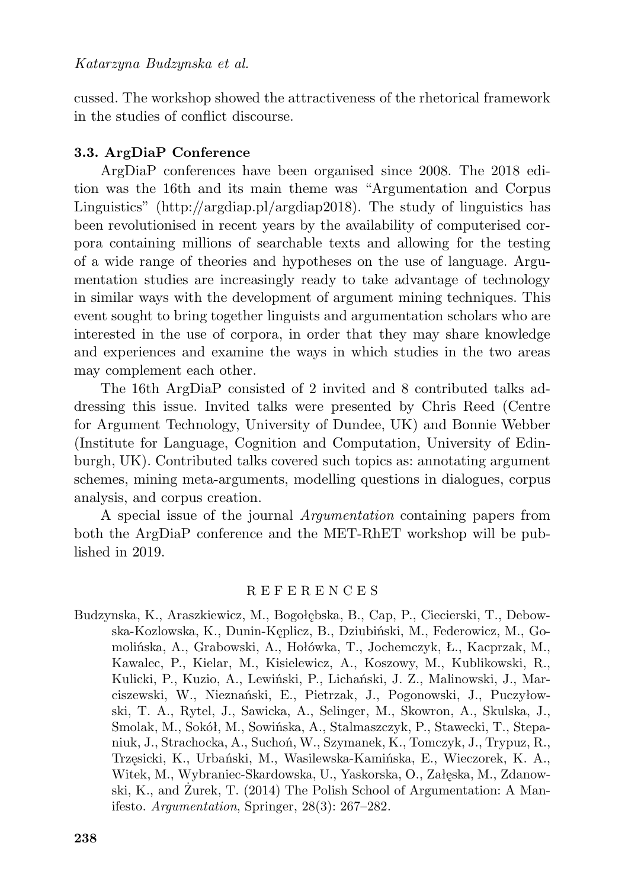cussed. The workshop showed the attractiveness of the rhetorical framework in the studies of conflict discourse.

### **3.3. ArgDiaP Conference**

ArgDiaP conferences have been organised since 2008. The 2018 edition was the 16th and its main theme was "Argumentation and Corpus Linguistics" (http://argdiap.pl/argdiap2018). The study of linguistics has been revolutionised in recent years by the availability of computerised corpora containing millions of searchable texts and allowing for the testing of a wide range of theories and hypotheses on the use of language. Argumentation studies are increasingly ready to take advantage of technology in similar ways with the development of argument mining techniques. This event sought to bring together linguists and argumentation scholars who are interested in the use of corpora, in order that they may share knowledge and experiences and examine the ways in which studies in the two areas may complement each other.

The 16th ArgDiaP consisted of 2 invited and 8 contributed talks addressing this issue. Invited talks were presented by Chris Reed (Centre for Argument Technology, University of Dundee, UK) and Bonnie Webber (Institute for Language, Cognition and Computation, University of Edinburgh, UK). Contributed talks covered such topics as: annotating argument schemes, mining meta-arguments, modelling questions in dialogues, corpus analysis, and corpus creation.

A special issue of the journal *Argumentation* containing papers from both the ArgDiaP conference and the MET-RhET workshop will be published in 2019.

#### R E F E R E N C E S

Budzynska, K., Araszkiewicz, M., Bogołębska, B., Cap, P., Ciecierski, T., Debowska-Kozlowska, K., Dunin-Kęplicz, B., Dziubiński, M., Federowicz, M., Gomolińska, A., Grabowski, A., Hołówka, T., Jochemczyk, Ł., Kacprzak, M., Kawalec, P., Kielar, M., Kisielewicz, A., Koszowy, M., Kublikowski, R., Kulicki, P., Kuzio, A., Lewiński, P., Lichański, J. Z., Malinowski, J., Marciszewski, W., Nieznański, E., Pietrzak, J., Pogonowski, J., Puczyłowski, T. A., Rytel, J., Sawicka, A., Selinger, M., Skowron, A., Skulska, J., Smolak, M., Sokół, M., Sowińska, A., Stalmaszczyk, P., Stawecki, T., Stepaniuk, J., Strachocka, A., Suchoń, W., Szymanek, K., Tomczyk, J., Trypuz, R., Trzęsicki, K., Urbański, M., Wasilewska-Kamińska, E., Wieczorek, K. A., Witek, M., Wybraniec-Skardowska, U., Yaskorska, O., Załęska, M., Zdanowski, K., and Żurek, T. (2014) The Polish School of Argumentation: A Manifesto. *Argumentation*, Springer, 28(3): 267–282.